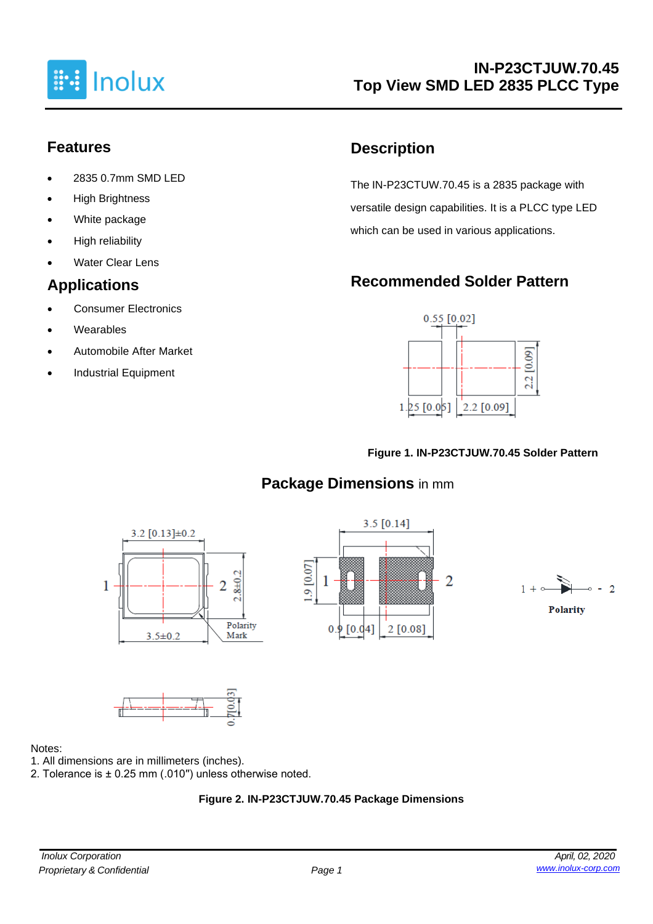

# **Features**

- 2835 0.7mm SMD LED
- **High Brightness**
- White package
- High reliability
- **Water Clear Lens**

# **Applications**

- Consumer Electronics
- **Wearables**
- Automobile After Market
- Industrial Equipment

# **Description**

The IN-P23CTUW.70.45 is a 2835 package with versatile design capabilities. It is a PLCC type LED which can be used in various applications.

# **Recommended Solder Pattern**



#### **Figure 1. IN-P23CTJUW.70.45 Solder Pattern**

# **Package Dimensions** in mm









#### Notes:

- 1. All dimensions are in millimeters (inches).
- 2. Tolerance is ± 0.25 mm (.010′′) unless otherwise noted.

### **Figure 2. IN-P23CTJUW.70.45 Package Dimensions**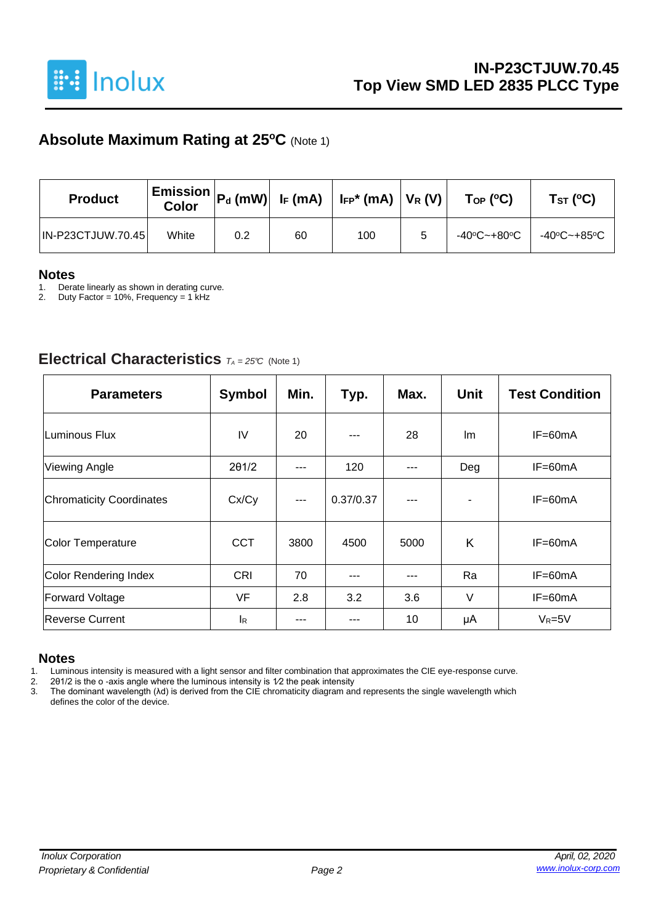

# **Absolute Maximum Rating at 25<sup>o</sup>C** (Note 1)

| <b>Product</b>           | <b>Color</b> | $\mid$ Emission $\mid$ Pd (mW) $\mid$ IF (mA) $\mid$ IFP* (mA) $\mid$ VR (V) $\mid$ |    |     | $\mathsf{Top}$ (°C) | Tsт (°C)    |             |  |
|--------------------------|--------------|-------------------------------------------------------------------------------------|----|-----|---------------------|-------------|-------------|--|
| <b>IN-P23CTJUW.70.45</b> | White        | 0.2                                                                                 | 60 | 100 | 5                   | -40°C~+80°C | -40°C~+85°C |  |

# **Notes**

1. Derate linearly as shown in derating curve.<br>2. Duty Factor = 10%, Frequency = 1 kHz

Duty Factor = 10%, Frequency = 1 kHz

### **Electrical Characteristics** *<sup>T</sup><sup>A</sup> <sup>=</sup> 25°C* (Note 1)

| <b>Parameters</b>               | <b>Symbol</b> | Min.          | Typ.      | Max. | <b>Unit</b> | <b>Test Condition</b> |
|---------------------------------|---------------|---------------|-----------|------|-------------|-----------------------|
| <b>Luminous Flux</b>            | IV            | 20            |           | 28   | Im          | $IF=60mA$             |
| <b>Viewing Angle</b>            | 201/2         | ---           | 120       | ---  | Deg         | IF=60mA               |
| <b>Chromaticity Coordinates</b> | Cx/Cy         | $\frac{1}{2}$ | 0.37/0.37 | ---  |             | IF=60mA               |
| <b>Color Temperature</b>        | <b>CCT</b>    | 3800          | 4500      | 5000 | K           | $IF=60mA$             |
| <b>Color Rendering Index</b>    | <b>CRI</b>    | 70            |           |      | Ra          | IF=60mA               |
| <b>Forward Voltage</b>          | <b>VF</b>     | 2.8           | 3.2       | 3.6  | V           | $IF=60mA$             |
| <b>Reverse Current</b>          | <b>I</b> R    |               |           | 10   | μA          | $V_R = 5V$            |

#### **Notes**

1. Luminous intensity is measured with a light sensor and filter combination that approximates the CIE eye-response curve.<br>2. 201/2 is the o-axis angle where the luminous intensity is  $1/2$  the peak intensity

2. 2θ1/2 is the o -axis angle where the luminous intensity is 1⁄2 the peak intensity

3. The dominant wavelength (λd) is derived from the CIE chromaticity diagram and represents the single wavelength which defines the color of the device.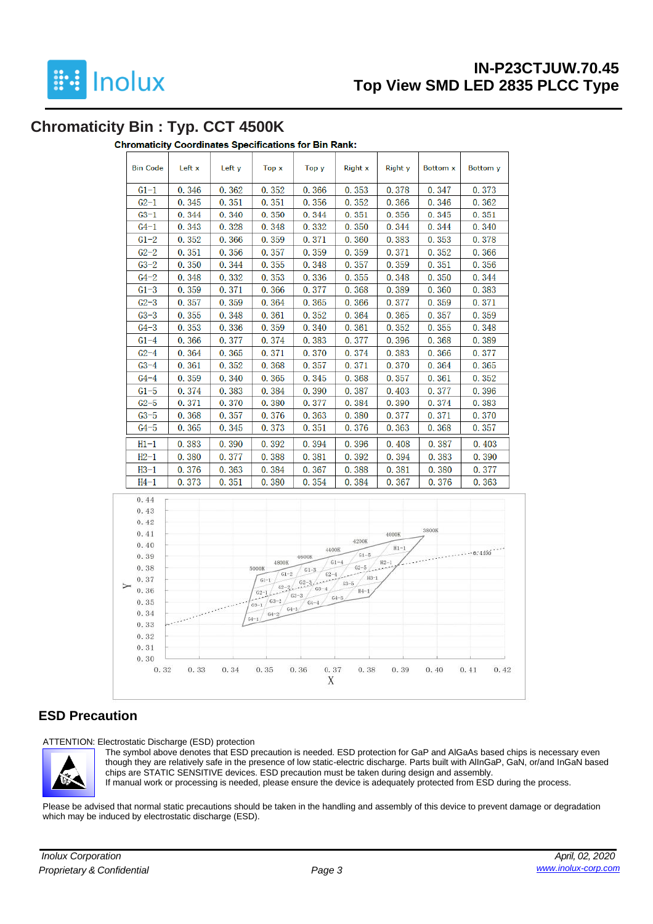

# **IN-P23CTJUW.70.45 Top View SMD LED 2835 PLCC Type**

### **Chromaticity Bin : Typ. CCT 4500K**

#### **Chromaticity Coordinates Specifications for Bin Rank:**

| <b>Bin Code</b> | Left x | Left y | Top x | Top y | <b>Right x</b> | <b>Right</b> y | <b>Bottom x</b> | <b>Bottom</b> y |
|-----------------|--------|--------|-------|-------|----------------|----------------|-----------------|-----------------|
| $G1-1$          | 0.346  | 0.362  | 0.352 | 0.366 | 0.353          | 0.378          | 0.347           | 0.373           |
| $G2-1$          | 0.345  | 0.351  | 0.351 | 0.356 | 0.352          | 0.366          | 0.346           | 0.362           |
| $G3-1$          | 0.344  | 0.340  | 0.350 | 0.344 | 0.351          | 0.356          | 0.345           | 0.351           |
| $G4-1$          | 0.343  | 0.328  | 0.348 | 0.332 | 0.350          | 0.344          | 0.344           | 0.340           |
| $G1-2$          | 0.352  | 0.366  | 0.359 | 0.371 | 0.360          | 0.383          | 0.353           | 0.378           |
| $G2-2$          | 0.351  | 0.356  | 0.357 | 0.359 | 0.359          | 0.371          | 0.352           | 0.366           |
| $G3-2$          | 0.350  | 0.344  | 0.355 | 0.348 | 0.357          | 0.359          | 0.351           | 0.356           |
| $G4-2$          | 0.348  | 0.332  | 0.353 | 0.336 | 0.355          | 0.348          | 0.350           | 0.344           |
| $G1-3$          | 0.359  | 0.371  | 0.366 | 0.377 | 0.368          | 0.389          | 0.360           | 0.383           |
| $G2-3$          | 0.357  | 0.359  | 0.364 | 0.365 | 0.366          | 0.377          | 0.359           | 0.371           |
| $G3-3$          | 0.355  | 0.348  | 0.361 | 0.352 | 0.364          | 0.365          | 0.357           | 0.359           |
| $G4-3$          | 0.353  | 0.336  | 0.359 | 0.340 | 0.361          | 0.352          | 0.355           | 0.348           |
| $G1-4$          | 0.366  | 0.377  | 0.374 | 0.383 | 0.377          | 0.396          | 0.368           | 0.389           |
| $G2-4$          | 0.364  | 0.365  | 0.371 | 0.370 | 0.374          | 0.383          | 0.366           | 0.377           |
| $G3-4$          | 0.361  | 0.352  | 0.368 | 0.357 | 0.371          | 0.370          | 0.364           | 0.365           |
| $G4-4$          | 0.359  | 0.340  | 0.365 | 0.345 | 0.368          | 0.357          | 0.361           | 0.352           |
| $G1-5$          | 0.374  | 0.383  | 0.384 | 0.390 | 0.387          | 0.403          | 0.377           | 0.396           |
| $G2-5$          | 0.371  | 0.370  | 0.380 | 0.377 | 0.384          | 0.390          | 0.374           | 0.383           |
| $G3-5$          | 0.368  | 0.357  | 0.376 | 0.363 | 0.380          | 0.377          | 0.371           | 0.370           |
| $G4-5$          | 0.365  | 0.345  | 0.373 | 0.351 | 0.376          | 0.363          | 0.368           | 0.357           |
| $H1-1$          | 0.383  | 0.390  | 0.392 | 0.394 | 0.396          | 0.408          | 0.387           | 0.403           |
| $H2-1$          | 0.380  | 0.377  | 0.388 | 0.381 | 0.392          | 0.394          | 0.383           | 0.390           |
| $H3-1$          | 0.376  | 0.363  | 0.384 | 0.367 | 0.388          | 0.381          | 0.380           | 0.377           |
| $H4-1$          | 0.373  | 0.351  | 0.380 | 0.354 | 0.384          | 0.367          | 0.376           | 0.363           |



#### **ESD Precaution**

ATTENTION: Electrostatic Discharge (ESD) protection



The symbol above denotes that ESD precaution is needed. ESD protection for GaP and AlGaAs based chips is necessary even though they are relatively safe in the presence of low static-electric discharge. Parts built with AlInGaP, GaN, or/and InGaN based chips are STATIC SENSITIVE devices. ESD precaution must be taken during design and assembly. If manual work or processing is needed, please ensure the device is adequately protected from ESD during the process.

Please be advised that normal static precautions should be taken in the handling and assembly of this device to prevent damage or degradation which may be induced by electrostatic discharge (ESD).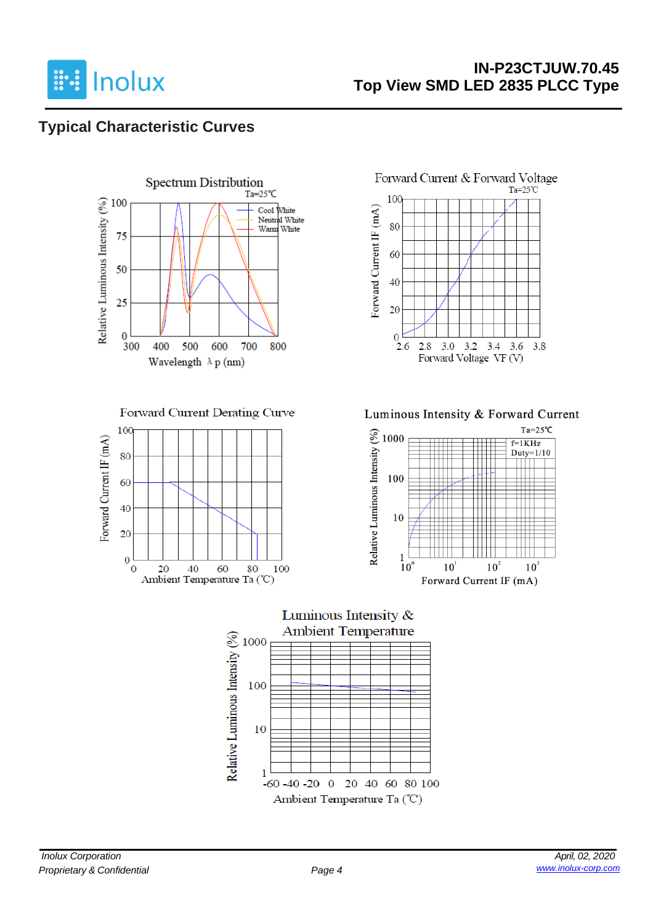

# **IN-P23CTJUW.70.45 Top View SMD LED 2835 PLCC Type**

# **Typical Characteristic Curves**



Forward Current Derating Curve





#### Luminous Intensity & Forward Current



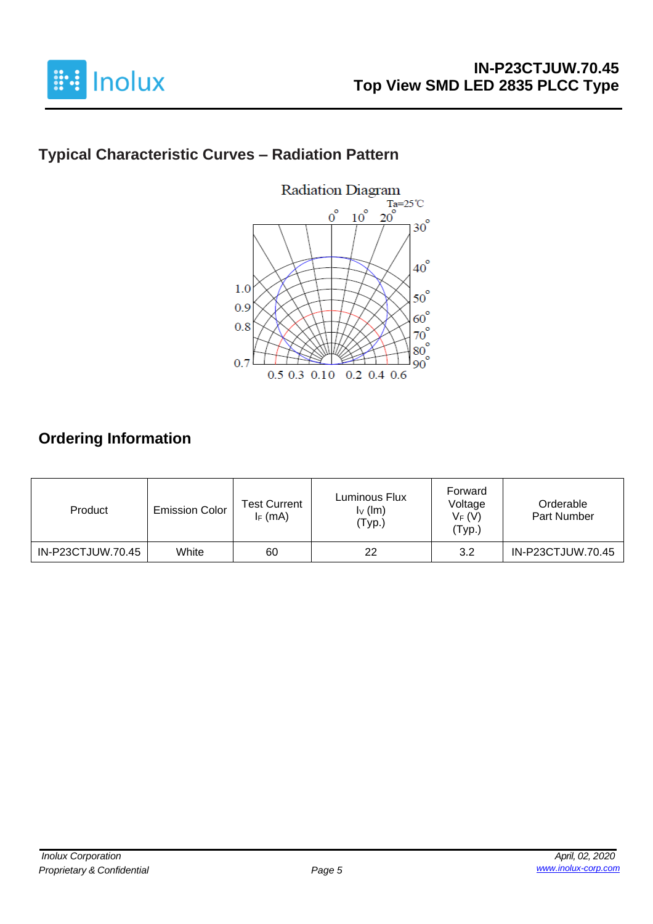

# **Typical Characteristic Curves – Radiation Pattern**



# **Ordering Information**

| Product           | <b>Emission Color</b> | <b>Test Current</b><br>$I_F$ (mA) | Luminous Flux<br>$I_V$ (lm)<br>'Typ.) | Forward<br>Voltage<br>$V_F(V)$<br>'Тур.) | Orderable<br>Part Number |
|-------------------|-----------------------|-----------------------------------|---------------------------------------|------------------------------------------|--------------------------|
| IN-P23CTJUW.70.45 | White                 | 60                                | 22                                    | 3.2                                      | IN-P23CTJUW.70.45        |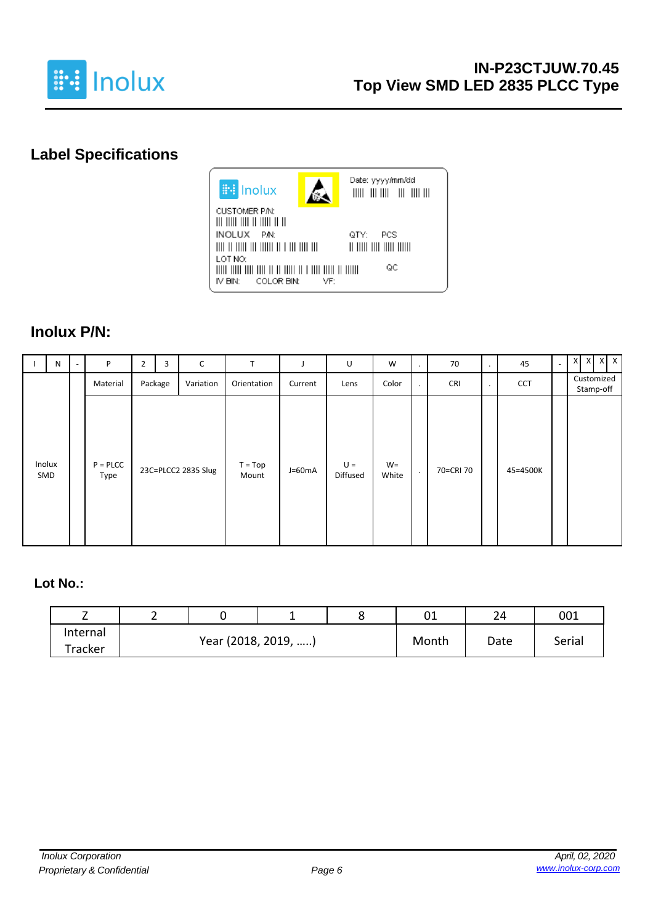

# **Label Specifications**



### **Inolux P/N:**

| N             | P                     | $\overline{2}$ | 3       | C                   | T                  |          | U                 | W              | ٠       | 70         | $\bullet$ | 45         | $\overline{a}$ | $X$ $X$ $X$ $X$         |
|---------------|-----------------------|----------------|---------|---------------------|--------------------|----------|-------------------|----------------|---------|------------|-----------|------------|----------------|-------------------------|
|               | Material              |                | Package | Variation           | Orientation        | Current  | Lens              | Color          | $\cdot$ | <b>CRI</b> | $\bullet$ | <b>CCT</b> |                | Customized<br>Stamp-off |
| Inolux<br>SMD | $P = P L C C$<br>Type |                |         | 23C=PLCC2 2835 Slug | $T = Top$<br>Mount | $J=60mA$ | $U =$<br>Diffused | $W =$<br>White | $\cdot$ | 70=CRI 70  |           | 45=4500K   |                |                         |

#### **Lot No.:**

| -        | _ |                     |  | UΤ    | 24   | 001    |  |
|----------|---|---------------------|--|-------|------|--------|--|
| Internal |   |                     |  | Month |      |        |  |
| Tracker  |   | Year (2018, 2019, ) |  |       | Date | Serial |  |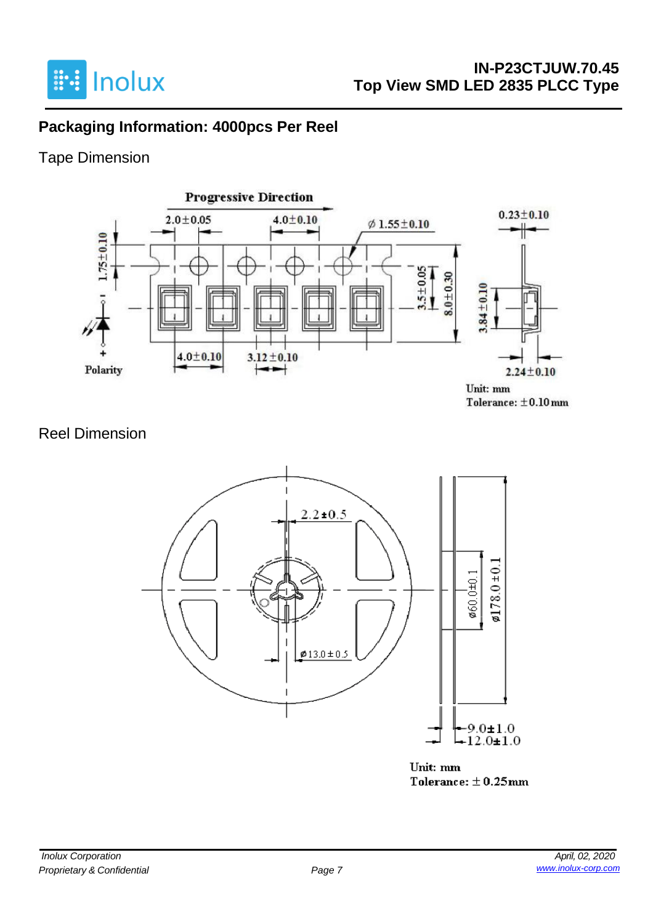

# **Packaging Information: 4000pcs Per Reel**

# Tape Dimension



### Reel Dimension



Unit: mm Tolerance:  $\pm$  0.25mm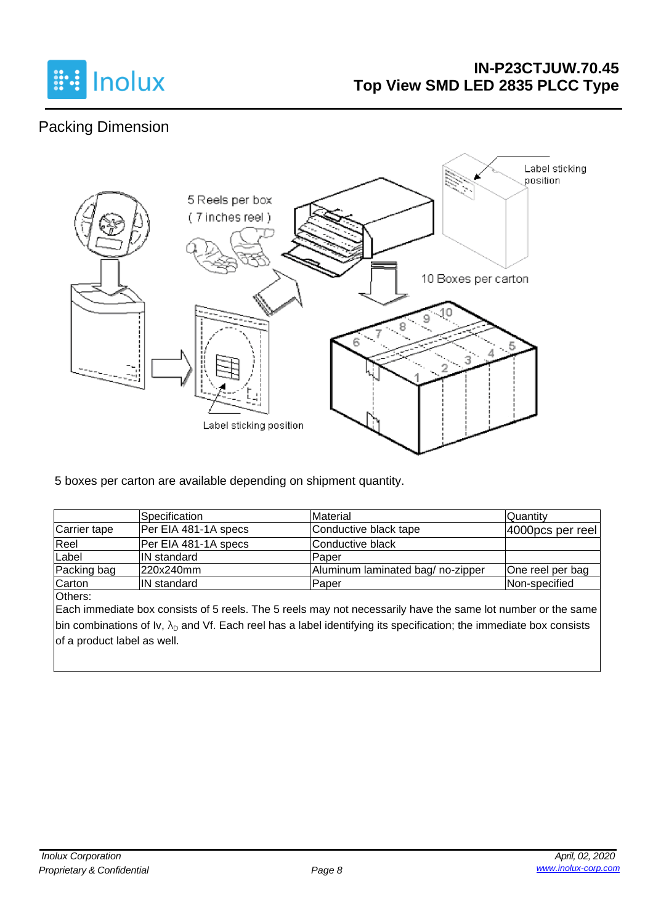

## **IN-P23CTJUW.70.45 Top View SMD LED 2835 PLCC Type**

# Packing Dimension



5 boxes per carton are available depending on shipment quantity.

|              | <b>Specification</b> | Material                         | <b>Quantity</b>      |
|--------------|----------------------|----------------------------------|----------------------|
| Carrier tape | Per EIA 481-1A specs | Conductive black tape            | $ 4000$ pcs per reel |
| Reel         | Per EIA 481-1A specs | Conductive black                 |                      |
| Label        | <b>IN</b> standard   | Paper                            |                      |
| Packing bag  | 220x240mm            | Aluminum laminated bag/no-zipper | One reel per bag     |
| Carton       | <b>IN</b> standard   | Paper                            | Non-specified        |

Others:

Each immediate box consists of 5 reels. The 5 reels may not necessarily have the same lot number or the same bin combinations of Iv,  $\lambda_D$  and Vf. Each reel has a label identifying its specification; the immediate box consists of a product label as well.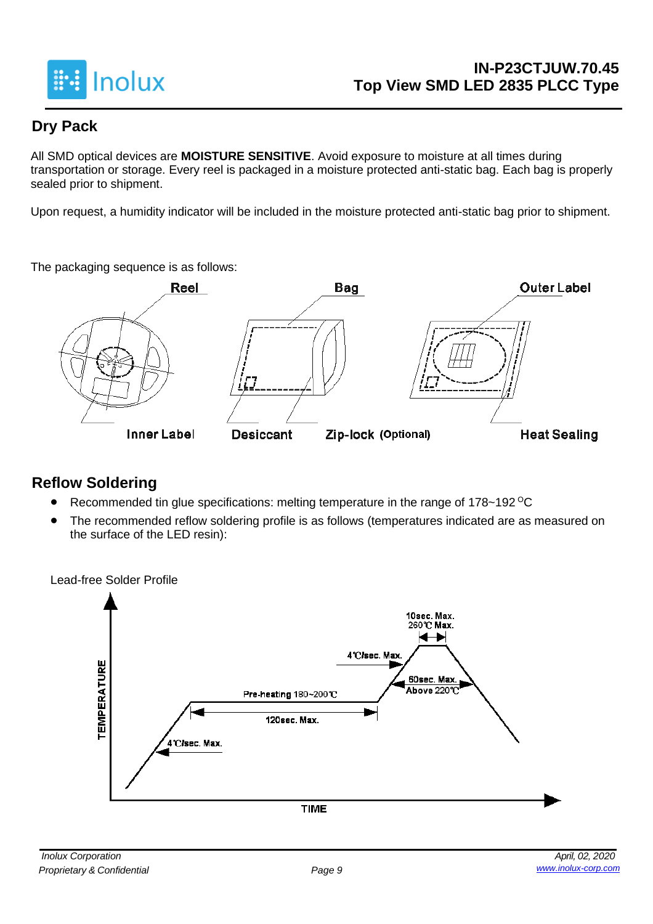

# **Dry Pack**

All SMD optical devices are **MOISTURE SENSITIVE**. Avoid exposure to moisture at all times during transportation or storage. Every reel is packaged in a moisture protected anti-static bag. Each bag is properly sealed prior to shipment.

Upon request, a humidity indicator will be included in the moisture protected anti-static bag prior to shipment.

The packaging sequence is as follows:



# **Reflow Soldering**

- Recommended tin glue specifications: melting temperature in the range of 178~192 <sup>o</sup>C
- The recommended reflow soldering profile is as follows (temperatures indicated are as measured on the surface of the LED resin):

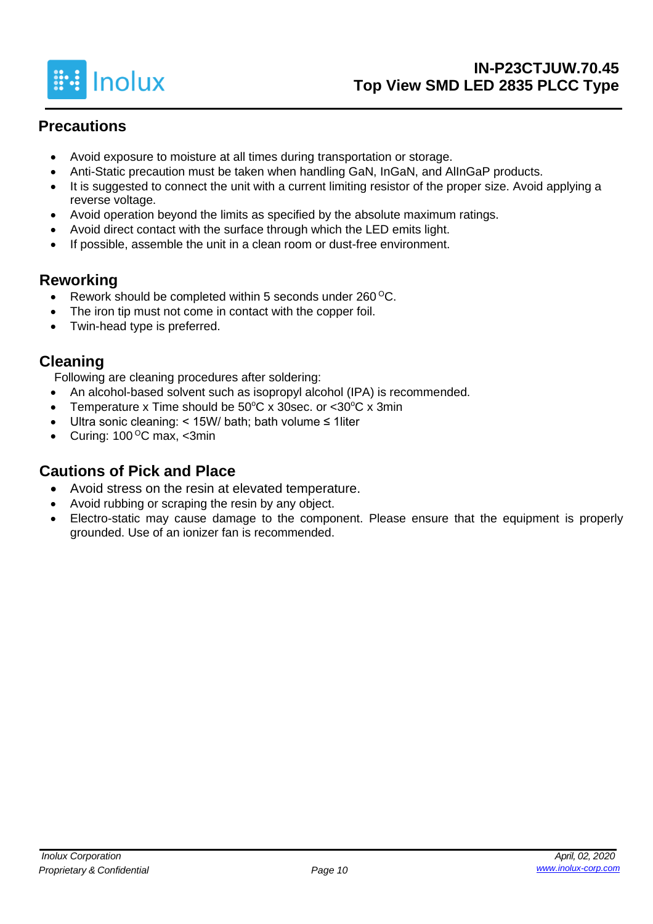

# **Precautions**

- Avoid exposure to moisture at all times during transportation or storage.
- Anti-Static precaution must be taken when handling GaN, InGaN, and AlInGaP products.
- It is suggested to connect the unit with a current limiting resistor of the proper size. Avoid applying a reverse voltage.
- Avoid operation beyond the limits as specified by the absolute maximum ratings.
- Avoid direct contact with the surface through which the LED emits light.
- If possible, assemble the unit in a clean room or dust-free environment.

### **Reworking**

- Rework should be completed within 5 seconds under  $260^{\circ}$ C.
- The iron tip must not come in contact with the copper foil.
- Twin-head type is preferred.

### **Cleaning**

Following are cleaning procedures after soldering:

- An alcohol-based solvent such as isopropyl alcohol (IPA) is recommended.
- Temperature x Time should be  $50^{\circ}$ C x 30sec. or  $<$ 30 $^{\circ}$ C x 3min
- Ultra sonic cleaning: < 15W/ bath; bath volume ≤ 1liter
- Curing:  $100^{\circ}$ C max, <3min

# **Cautions of Pick and Place**

- Avoid stress on the resin at elevated temperature.
- Avoid rubbing or scraping the resin by any object.
- Electro-static may cause damage to the component. Please ensure that the equipment is properly grounded. Use of an ionizer fan is recommended.